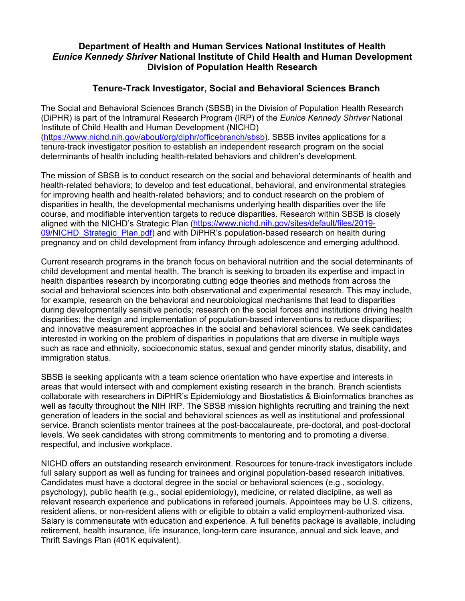## **Department of Health and Human Services National Institutes of Health** *Eunice Kennedy Shriver* **National Institute of Child Health and Human Development Division of Population Health Research**

## **Tenure-Track Investigator, Social and Behavioral Sciences Branch**

The Social and Behavioral Sciences Branch (SBSB) in the Division of Population Health Research (DiPHR) is part of the Intramural Research Program (IRP) of the *Eunice Kennedy Shriver* National Institute of Child Health and Human Development (NICHD) [\(https://www.nichd.nih.gov/about/org/diphr/officebranch/sbsb\)](https://www.nichd.nih.gov/about/org/diphr/officebranch/sbsb). SBSB invites applications for a tenure-track investigator position to establish an independent research program on the social determinants of health including health-related behaviors and children's development.

The mission of SBSB is to conduct research on the social and behavioral determinants of health and health-related behaviors; to develop and test educational, behavioral, and environmental strategies for improving health and health-related behaviors; and to conduct research on the problem of disparities in health, the developmental mechanisms underlying health disparities over the life course, and modifiable intervention targets to reduce disparities. Research within SBSB is closely aligned with the NICHD's Strategic Plan [\(https://www.nichd.nih.gov/sites/default/files/2019-](https://www.nichd.nih.gov/sites/default/files/2019-09/NICHD_Strategic_Plan.pdf) 09/NICHD Strategic Plan.pdf) and with DiPHR's population-based research on health during pregnancy and on child development from infancy through adolescence and emerging adulthood.

Current research programs in the branch focus on behavioral nutrition and the social determinants of child development and mental health. The branch is seeking to broaden its expertise and impact in health disparities research by incorporating cutting edge theories and methods from across the social and behavioral sciences into both observational and experimental research. This may include, for example, research on the behavioral and neurobiological mechanisms that lead to disparities during developmentally sensitive periods; research on the social forces and institutions driving health disparities; the design and implementation of population-based interventions to reduce disparities; and innovative measurement approaches in the social and behavioral sciences. We seek candidates interested in working on the problem of disparities in populations that are diverse in multiple ways such as race and ethnicity, socioeconomic status, sexual and gender minority status, disability, and immigration status.

SBSB is seeking applicants with a team science orientation who have expertise and interests in areas that would intersect with and complement existing research in the branch. Branch scientists collaborate with researchers in DiPHR's Epidemiology and Biostatistics & Bioinformatics branches as well as faculty throughout the NIH IRP. The SBSB mission highlights recruiting and training the next generation of leaders in the social and behavioral sciences as well as institutional and professional service. Branch scientists mentor trainees at the post-baccalaureate, pre-doctoral, and post-doctoral levels. We seek candidates with strong commitments to mentoring and to promoting a diverse, respectful, and inclusive workplace.

NICHD offers an outstanding research environment. Resources for tenure-track investigators include full salary support as well as funding for trainees and original population-based research initiatives. Candidates must have a doctoral degree in the social or behavioral sciences (e.g., sociology, psychology), public health (e.g., social epidemiology), medicine, or related discipline, as well as relevant research experience and publications in refereed journals. Appointees may be U.S. citizens, resident aliens, or non-resident aliens with or eligible to obtain a valid employment-authorized visa. Salary is commensurate with education and experience. A full benefits package is available, including retirement, health insurance, life insurance, long-term care insurance, annual and sick leave, and Thrift Savings Plan (401K equivalent).